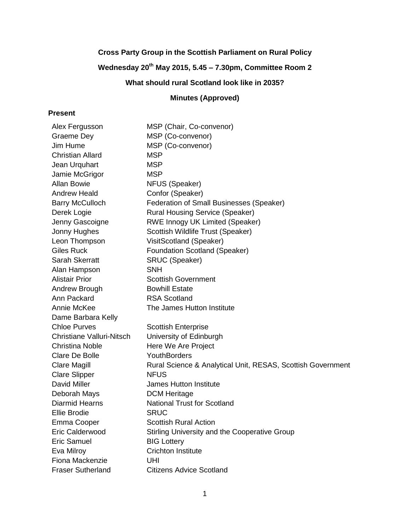# **Cross Party Group in the Scottish Parliament on Rural Policy**

# **Wednesday 20th May 2015, 5.45 – 7.30pm, Committee Room 2**

**What should rural Scotland look like in 2035?**

# **Minutes (Approved)**

# **Present**

| Alex Fergusson                   | MSP (Chair, Co-convenor)                                    |
|----------------------------------|-------------------------------------------------------------|
| Graeme Dey                       | MSP (Co-convenor)                                           |
| Jim Hume                         | MSP (Co-convenor)                                           |
| <b>Christian Allard</b>          | <b>MSP</b>                                                  |
| Jean Urquhart                    | <b>MSP</b>                                                  |
| Jamie McGrigor                   | <b>MSP</b>                                                  |
| <b>Allan Bowie</b>               | NFUS (Speaker)                                              |
| <b>Andrew Heald</b>              | Confor (Speaker)                                            |
| <b>Barry McCulloch</b>           | Federation of Small Businesses (Speaker)                    |
| Derek Logie                      | <b>Rural Housing Service (Speaker)</b>                      |
| Jenny Gascoigne                  | <b>RWE Innogy UK Limited (Speaker)</b>                      |
| Jonny Hughes                     | Scottish Wildlife Trust (Speaker)                           |
| Leon Thompson                    | VisitScotland (Speaker)                                     |
| <b>Giles Ruck</b>                | <b>Foundation Scotland (Speaker)</b>                        |
| Sarah Skerratt                   | <b>SRUC (Speaker)</b>                                       |
| Alan Hampson                     | <b>SNH</b>                                                  |
| <b>Alistair Prior</b>            | <b>Scottish Government</b>                                  |
| Andrew Brough                    | <b>Bowhill Estate</b>                                       |
| Ann Packard                      | <b>RSA Scotland</b>                                         |
| <b>Annie McKee</b>               | The James Hutton Institute                                  |
| Dame Barbara Kelly               |                                                             |
| <b>Chloe Purves</b>              | <b>Scottish Enterprise</b>                                  |
| <b>Christiane Valluri-Nitsch</b> | University of Edinburgh                                     |
| <b>Christina Noble</b>           | Here We Are Project                                         |
| <b>Clare De Bolle</b>            | YouthBorders                                                |
| Clare Magill                     | Rural Science & Analytical Unit, RESAS, Scottish Government |
| <b>Clare Slipper</b>             | <b>NFUS</b>                                                 |
| David Miller                     | <b>James Hutton Institute</b>                               |
| Deborah Mays                     | <b>DCM Heritage</b>                                         |
| <b>Diarmid Hearns</b>            | <b>National Trust for Scotland</b>                          |
| <b>Ellie Brodie</b>              | <b>SRUC</b>                                                 |
| Emma Cooper                      | <b>Scottish Rural Action</b>                                |
| Eric Calderwood                  | Stirling University and the Cooperative Group               |
| <b>Eric Samuel</b>               | <b>BIG Lottery</b>                                          |
| Eva Milroy                       | <b>Crichton Institute</b>                                   |
| Fiona Mackenzie                  | UHI                                                         |
| <b>Fraser Sutherland</b>         | <b>Citizens Advice Scotland</b>                             |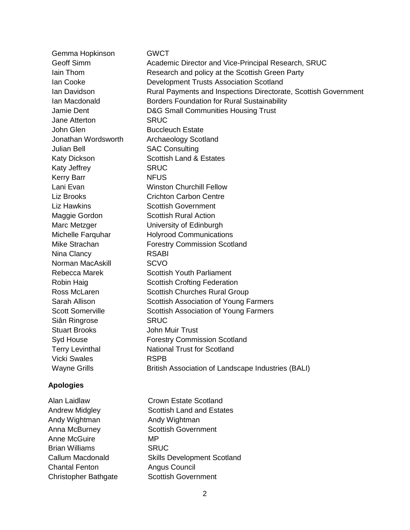| Gemma Hopkinson         | <b>GWCT</b>                                                     |
|-------------------------|-----------------------------------------------------------------|
| Geoff Simm              | Academic Director and Vice-Principal Research, SRUC             |
| lain Thom               | Research and policy at the Scottish Green Party                 |
| Ian Cooke               | <b>Development Trusts Association Scotland</b>                  |
| Ian Davidson            | Rural Payments and Inspections Directorate, Scottish Government |
| Ian Macdonald           | <b>Borders Foundation for Rural Sustainability</b>              |
| Jamie Dent              | <b>D&amp;G Small Communities Housing Trust</b>                  |
| Jane Atterton           | <b>SRUC</b>                                                     |
| John Glen               | <b>Buccleuch Estate</b>                                         |
| Jonathan Wordsworth     | <b>Archaeology Scotland</b>                                     |
| <b>Julian Bell</b>      | <b>SAC Consulting</b>                                           |
| <b>Katy Dickson</b>     | <b>Scottish Land &amp; Estates</b>                              |
| Katy Jeffrey            | <b>SRUC</b>                                                     |
| <b>Kerry Barr</b>       | <b>NFUS</b>                                                     |
| Lani Evan               | <b>Winston Churchill Fellow</b>                                 |
| Liz Brooks              | <b>Crichton Carbon Centre</b>                                   |
| <b>Liz Hawkins</b>      | <b>Scottish Government</b>                                      |
| Maggie Gordon           | <b>Scottish Rural Action</b>                                    |
| Marc Metzger            | University of Edinburgh                                         |
| Michelle Farquhar       | <b>Holyrood Communications</b>                                  |
| Mike Strachan           | <b>Forestry Commission Scotland</b>                             |
| Nina Clancy             | <b>RSABI</b>                                                    |
| Norman MacAskill        | <b>SCVO</b>                                                     |
| Rebecca Marek           | <b>Scottish Youth Parliament</b>                                |
| Robin Haig              | <b>Scottish Crofting Federation</b>                             |
| Ross McLaren            | <b>Scottish Churches Rural Group</b>                            |
| Sarah Allison           | Scottish Association of Young Farmers                           |
| <b>Scott Somerville</b> | Scottish Association of Young Farmers                           |
| Siân Ringrose           | <b>SRUC</b>                                                     |
| <b>Stuart Brooks</b>    | <b>John Muir Trust</b>                                          |
| Syd House               | <b>Forestry Commission Scotland</b>                             |
| <b>Terry Levinthal</b>  | <b>National Trust for Scotland</b>                              |
| <b>Vicki Swales</b>     | <b>RSPB</b>                                                     |
| <b>Wayne Grills</b>     | British Association of Landscape Industries (BALI)              |
| <b>Apologies</b>        |                                                                 |
| Alan Laidlaw            | <b>Crown Estate Scotland</b>                                    |
| <b>Andrew Midgley</b>   | <b>Scottish Land and Estates</b>                                |
| Andy Wightman           | Andy Wightman                                                   |
| Anna McBurney           | <b>Scottish Government</b>                                      |

Anne McGuire<br>
Brian Williams

GRUC Brian Williams<br>Callum Macdonald Chantal Fenton Angus Council Christopher Bathgate Scottish Government

Skills Development Scotland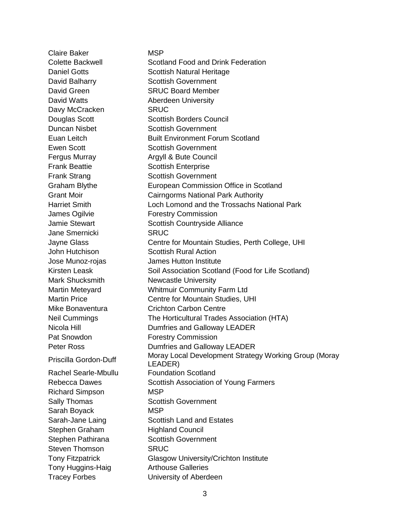Claire Baker MSP Colette Backwell Scotland Food and Drink Federation Daniel Gotts **Scottish Natural Heritage** David Balharry Scottish Government David Green SRUC Board Member David Watts **Aberdeen University** Davy McCracken SRUC Douglas Scott Scottish Borders Council Duncan Nisbet Scottish Government Euan Leitch Built Environment Forum Scotland Ewen Scott Scottish Government Fergus Murray **Argyll & Bute Council** Frank Beattie Scottish Enterprise Frank Strang Scottish Government Graham Blythe European Commission Office in Scotland Grant Moir Cairngorms National Park Authority Harriet Smith Loch Lomond and the Trossachs National Park James Ogilvie Forestry Commission Jamie Stewart **Scottish Countryside Alliance** Jane Smernicki SRUC Jayne Glass Centre for Mountain Studies, Perth College, UHI John Hutchison Scottish Rural Action Jose Munoz-rojas James Hutton Institute Kirsten Leask **Soil Association Scotland (Food for Life Scotland)** Mark Shucksmith Newcastle University Martin Meteyard Whitmuir Community Farm Ltd Martin Price Centre for Mountain Studies, UHI Mike Bonaventura **Crichton Carbon Centre** Neil Cummings The Horticultural Trades Association (HTA) Nicola Hill **Nicola Hill** Dumfries and Galloway LEADER Pat Snowdon **Forestry Commission** Peter Ross **Dumfries and Galloway LEADER** Priscilla Gordon-Duff Moray Local Development Strategy Working Group (Moray LEADER) Rachel Searle-Mbullu Foundation Scotland Rebecca Dawes **Scottish Association of Young Farmers** Richard Simpson MSP Sally Thomas Scottish Government Sarah Boyack MSP Sarah-Jane Laing Scottish Land and Estates Stephen Graham Highland Council Stephen Pathirana Scottish Government Steven Thomson SRUC Tony Fitzpatrick Glasgow University/Crichton Institute Tony Huggins-Haig **Arthouse Galleries** Tracey Forbes University of Aberdeen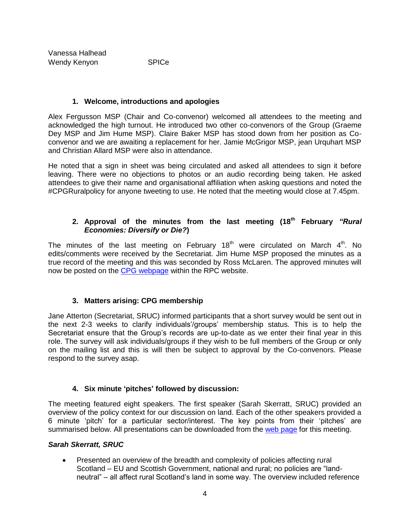## **1. Welcome, introductions and apologies**

Alex Fergusson MSP (Chair and Co-convenor) welcomed all attendees to the meeting and acknowledged the high turnout. He introduced two other co-convenors of the Group (Graeme Dey MSP and Jim Hume MSP). Claire Baker MSP has stood down from her position as Coconvenor and we are awaiting a replacement for her. Jamie McGrigor MSP, jean Urquhart MSP and Christian Allard MSP were also in attendance.

He noted that a sign in sheet was being circulated and asked all attendees to sign it before leaving. There were no objections to photos or an audio recording being taken. He asked attendees to give their name and organisational affiliation when asking questions and noted the #CPGRuralpolicy for anyone tweeting to use. He noted that the meeting would close at 7.45pm.

## **2. Approval of the minutes from the last meeting (18th February** *"Rural Economies: Diversify or Die?***)**

The minutes of the last meeting on February 18<sup>th</sup> were circulated on March  $4<sup>th</sup>$ . No edits/comments were received by the Secretariat. Jim Hume MSP proposed the minutes as a true record of the meeting and this was seconded by Ross McLaren. The approved minutes will now be posted on the [CPG webpage](http://www.sruc.ac.uk/info/120597/group_meetings_2014-15) within the RPC website.

# **3. Matters arising: CPG membership**

Jane Atterton (Secretariat, SRUC) informed participants that a short survey would be sent out in the next 2-3 weeks to clarify individuals'/groups' membership status. This is to help the Secretariat ensure that the Group's records are up-to-date as we enter their final year in this role. The survey will ask individuals/groups if they wish to be full members of the Group or only on the mailing list and this is will then be subject to approval by the Co-convenors. Please respond to the survey asap.

# **4. Six minute 'pitches' followed by discussion:**

The meeting featured eight speakers. The first speaker (Sarah Skerratt, SRUC) provided an overview of the policy context for our discussion on land. Each of the other speakers provided a 6 minute 'pitch' for a particular sector/interest. The key points from their 'pitches' are summarised below. All presentations can be downloaded from the [web page](http://www.sruc.ac.uk/info/120597/group_meetings_2014-15/1381/meeting_4what_should_rural_scotland_look_like_in_2035) for this meeting.

## *Sarah Skerratt, SRUC*

• Presented an overview of the breadth and complexity of policies affecting rural Scotland – EU and Scottish Government, national and rural; no policies are "landneutral" – all affect rural Scotland's land in some way. The overview included reference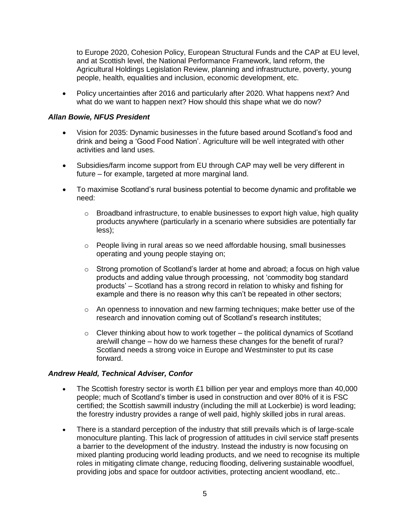to Europe 2020, Cohesion Policy, European Structural Funds and the CAP at EU level, and at Scottish level, the National Performance Framework, land reform, the Agricultural Holdings Legislation Review, planning and infrastructure, poverty, young people, health, equalities and inclusion, economic development, etc.

 Policy uncertainties after 2016 and particularly after 2020. What happens next? And what do we want to happen next? How should this shape what we do now?

#### *Allan Bowie, NFUS President*

- Vision for 2035: Dynamic businesses in the future based around Scotland's food and drink and being a 'Good Food Nation'. Agriculture will be well integrated with other activities and land uses.
- Subsidies/farm income support from EU through CAP may well be very different in future – for example, targeted at more marginal land.
- To maximise Scotland's rural business potential to become dynamic and profitable we need:
	- $\circ$  Broadband infrastructure, to enable businesses to export high value, high quality products anywhere (particularly in a scenario where subsidies are potentially far less);
	- $\circ$  People living in rural areas so we need affordable housing, small businesses operating and young people staying on;
	- $\circ$  Strong promotion of Scotland's larder at home and abroad; a focus on high value products and adding value through processing, not 'commodity bog standard products' – Scotland has a strong record in relation to whisky and fishing for example and there is no reason why this can't be repeated in other sectors;
	- $\circ$  An openness to innovation and new farming techniques; make better use of the research and innovation coming out of Scotland's research institutes;
	- $\circ$  Clever thinking about how to work together the political dynamics of Scotland are/will change – how do we harness these changes for the benefit of rural? Scotland needs a strong voice in Europe and Westminster to put its case forward.

#### *Andrew Heald, Technical Adviser, Confor*

- $\bullet$  The Scottish forestry sector is worth £1 billion per year and employs more than 40,000 people; much of Scotland's timber is used in construction and over 80% of it is FSC certified; the Scottish sawmill industry (including the mill at Lockerbie) is word leading; the forestry industry provides a range of well paid, highly skilled jobs in rural areas.
- There is a standard perception of the industry that still prevails which is of large-scale monoculture planting. This lack of progression of attitudes in civil service staff presents a barrier to the development of the industry. Instead the industry is now focusing on mixed planting producing world leading products, and we need to recognise its multiple roles in mitigating climate change, reducing flooding, delivering sustainable woodfuel, providing jobs and space for outdoor activities, protecting ancient woodland, etc..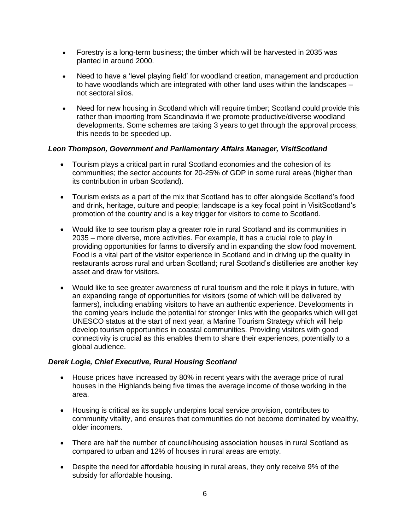- Forestry is a long-term business; the timber which will be harvested in 2035 was planted in around 2000.
- Need to have a 'level playing field' for woodland creation, management and production to have woodlands which are integrated with other land uses within the landscapes – not sectoral silos.
- Need for new housing in Scotland which will require timber; Scotland could provide this rather than importing from Scandinavia if we promote productive/diverse woodland developments. Some schemes are taking 3 years to get through the approval process; this needs to be speeded up.

#### *Leon Thompson, Government and Parliamentary Affairs Manager, VisitScotland*

- Tourism plays a critical part in rural Scotland economies and the cohesion of its communities; the sector accounts for 20-25% of GDP in some rural areas (higher than its contribution in urban Scotland).
- Tourism exists as a part of the mix that Scotland has to offer alongside Scotland's food and drink, heritage, culture and people; landscape is a key focal point in VisitScotland's promotion of the country and is a key trigger for visitors to come to Scotland.
- Would like to see tourism play a greater role in rural Scotland and its communities in 2035 – more diverse, more activities. For example, it has a crucial role to play in providing opportunities for farms to diversify and in expanding the slow food movement. Food is a vital part of the visitor experience in Scotland and in driving up the quality in restaurants across rural and urban Scotland; rural Scotland's distilleries are another key asset and draw for visitors.
- Would like to see greater awareness of rural tourism and the role it plays in future, with an expanding range of opportunities for visitors (some of which will be delivered by farmers), including enabling visitors to have an authentic experience. Developments in the coming years include the potential for stronger links with the geoparks which will get UNESCO status at the start of next year, a Marine Tourism Strategy which will help develop tourism opportunities in coastal communities. Providing visitors with good connectivity is crucial as this enables them to share their experiences, potentially to a global audience.

#### *Derek Logie, Chief Executive, Rural Housing Scotland*

- House prices have increased by 80% in recent years with the average price of rural houses in the Highlands being five times the average income of those working in the area.
- Housing is critical as its supply underpins local service provision, contributes to community vitality, and ensures that communities do not become dominated by wealthy, older incomers.
- There are half the number of council/housing association houses in rural Scotland as compared to urban and 12% of houses in rural areas are empty.
- Despite the need for affordable housing in rural areas, they only receive 9% of the subsidy for affordable housing.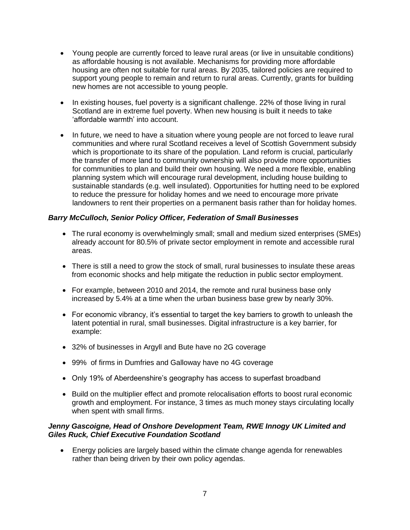- Young people are currently forced to leave rural areas (or live in unsuitable conditions) as affordable housing is not available. Mechanisms for providing more affordable housing are often not suitable for rural areas. By 2035, tailored policies are required to support young people to remain and return to rural areas. Currently, grants for building new homes are not accessible to young people.
- In existing houses, fuel poverty is a significant challenge. 22% of those living in rural Scotland are in extreme fuel poverty. When new housing is built it needs to take 'affordable warmth' into account.
- In future, we need to have a situation where young people are not forced to leave rural communities and where rural Scotland receives a level of Scottish Government subsidy which is proportionate to its share of the population. Land reform is crucial, particularly the transfer of more land to community ownership will also provide more opportunities for communities to plan and build their own housing. We need a more flexible, enabling planning system which will encourage rural development, including house building to sustainable standards (e.g. well insulated). Opportunities for hutting need to be explored to reduce the pressure for holiday homes and we need to encourage more private landowners to rent their properties on a permanent basis rather than for holiday homes.

# *Barry McCulloch, Senior Policy Officer, Federation of Small Businesses*

- The rural economy is overwhelmingly small; small and medium sized enterprises (SMEs) already account for 80.5% of private sector employment in remote and accessible rural areas.
- There is still a need to grow the stock of small, rural businesses to insulate these areas from economic shocks and help mitigate the reduction in public sector employment.
- For example, between 2010 and 2014, the remote and rural business base only increased by 5.4% at a time when the urban business base grew by nearly 30%.
- For economic vibrancy, it's essential to target the key barriers to growth to unleash the latent potential in rural, small businesses. Digital infrastructure is a key barrier, for example:
- 32% of businesses in Argyll and Bute have no 2G coverage
- 99% of firms in Dumfries and Galloway have no 4G coverage
- Only 19% of Aberdeenshire's geography has access to superfast broadband
- Build on the multiplier effect and promote relocalisation efforts to boost rural economic growth and employment. For instance, 3 times as much money stays circulating locally when spent with small firms.

## *Jenny Gascoigne, Head of Onshore Development Team, RWE Innogy UK Limited and Giles Ruck, Chief Executive Foundation Scotland*

 Energy policies are largely based within the climate change agenda for renewables rather than being driven by their own policy agendas.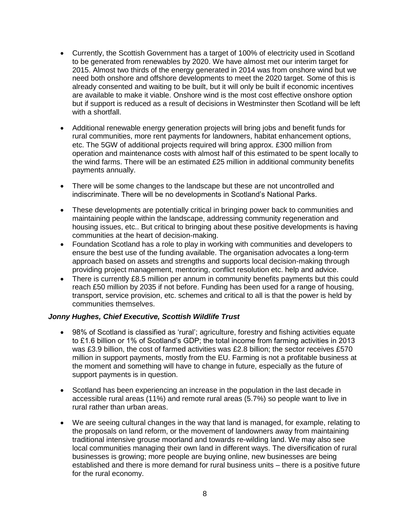- Currently, the Scottish Government has a target of 100% of electricity used in Scotland to be generated from renewables by 2020. We have almost met our interim target for 2015. Almost two thirds of the energy generated in 2014 was from onshore wind but we need both onshore and offshore developments to meet the 2020 target. Some of this is already consented and waiting to be built, but it will only be built if economic incentives are available to make it viable. Onshore wind is the most cost effective onshore option but if support is reduced as a result of decisions in Westminster then Scotland will be left with a shortfall.
- Additional renewable energy generation projects will bring jobs and benefit funds for rural communities, more rent payments for landowners, habitat enhancement options, etc. The 5GW of additional projects required will bring approx. £300 million from operation and maintenance costs with almost half of this estimated to be spent locally to the wind farms. There will be an estimated £25 million in additional community benefits payments annually.
- There will be some changes to the landscape but these are not uncontrolled and indiscriminate. There will be no developments in Scotland's National Parks.
- These developments are potentially critical in bringing power back to communities and maintaining people within the landscape, addressing community regeneration and housing issues, etc.. But critical to bringing about these positive developments is having communities at the heart of decision-making.
- Foundation Scotland has a role to play in working with communities and developers to ensure the best use of the funding available. The organisation advocates a long-term approach based on assets and strengths and supports local decision-making through providing project management, mentoring, conflict resolution etc. help and advice.
- There is currently £8.5 million per annum in community benefits payments but this could reach £50 million by 2035 if not before. Funding has been used for a range of housing, transport, service provision, etc. schemes and critical to all is that the power is held by communities themselves.

## *Jonny Hughes, Chief Executive, Scottish Wildlife Trust*

- 98% of Scotland is classified as 'rural'; agriculture, forestry and fishing activities equate to £1.6 billion or 1% of Scotland's GDP; the total income from farming activities in 2013 was £3.9 billion, the cost of farmed activities was £2.8 billion; the sector receives £570 million in support payments, mostly from the EU. Farming is not a profitable business at the moment and something will have to change in future, especially as the future of support payments is in question.
- Scotland has been experiencing an increase in the population in the last decade in accessible rural areas (11%) and remote rural areas (5.7%) so people want to live in rural rather than urban areas.
- We are seeing cultural changes in the way that land is managed, for example, relating to the proposals on land reform, or the movement of landowners away from maintaining traditional intensive grouse moorland and towards re-wilding land. We may also see local communities managing their own land in different ways. The diversification of rural businesses is growing; more people are buying online, new businesses are being established and there is more demand for rural business units – there is a positive future for the rural economy.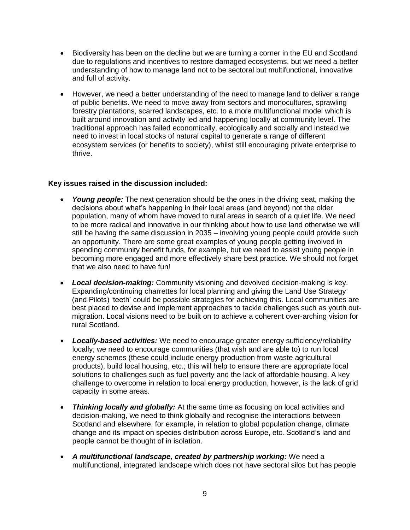- Biodiversity has been on the decline but we are turning a corner in the EU and Scotland due to regulations and incentives to restore damaged ecosystems, but we need a better understanding of how to manage land not to be sectoral but multifunctional, innovative and full of activity.
- However, we need a better understanding of the need to manage land to deliver a range of public benefits. We need to move away from sectors and monocultures, sprawling forestry plantations, scarred landscapes, etc. to a more multifunctional model which is built around innovation and activity led and happening locally at community level. The traditional approach has failed economically, ecologically and socially and instead we need to invest in local stocks of natural capital to generate a range of different ecosystem services (or benefits to society), whilst still encouraging private enterprise to thrive.

## **Key issues raised in the discussion included:**

- *Young people:* The next generation should be the ones in the driving seat, making the decisions about what's happening in their local areas (and beyond) not the older population, many of whom have moved to rural areas in search of a quiet life. We need to be more radical and innovative in our thinking about how to use land otherwise we will still be having the same discussion in 2035 – involving young people could provide such an opportunity. There are some great examples of young people getting involved in spending community benefit funds, for example, but we need to assist young people in becoming more engaged and more effectively share best practice. We should not forget that we also need to have fun!
- *Local decision-making:* Community visioning and devolved decision-making is key. Expanding/continuing charrettes for local planning and giving the Land Use Strategy (and Pilots) 'teeth' could be possible strategies for achieving this. Local communities are best placed to devise and implement approaches to tackle challenges such as youth outmigration. Local visions need to be built on to achieve a coherent over-arching vision for rural Scotland.
- *Locally-based activities:* We need to encourage greater energy sufficiency/reliability locally; we need to encourage communities (that wish and are able to) to run local energy schemes (these could include energy production from waste agricultural products), build local housing, etc.; this will help to ensure there are appropriate local solutions to challenges such as fuel poverty and the lack of affordable housing. A key challenge to overcome in relation to local energy production, however, is the lack of grid capacity in some areas.
- *Thinking locally and globally:* At the same time as focusing on local activities and decision-making, we need to think globally and recognise the interactions between Scotland and elsewhere, for example, in relation to global population change, climate change and its impact on species distribution across Europe, etc. Scotland's land and people cannot be thought of in isolation.
- *A multifunctional landscape, created by partnership working:* We need a multifunctional, integrated landscape which does not have sectoral silos but has people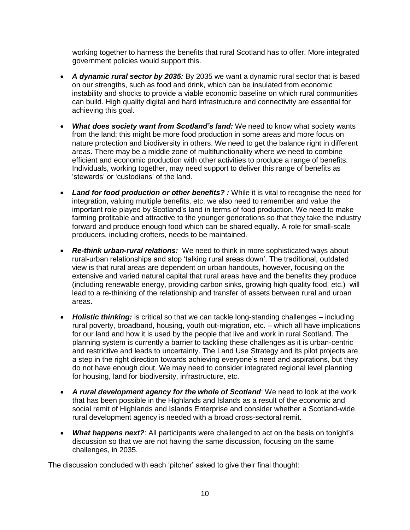working together to harness the benefits that rural Scotland has to offer. More integrated government policies would support this.

- *A dynamic rural sector by 2035:* By 2035 we want a dynamic rural sector that is based on our strengths, such as food and drink, which can be insulated from economic instability and shocks to provide a viable economic baseline on which rural communities can build. High quality digital and hard infrastructure and connectivity are essential for achieving this goal.
- *What does society want from Scotland's land:* We need to know what society wants from the land; this might be more food production in some areas and more focus on nature protection and biodiversity in others. We need to get the balance right in different areas. There may be a middle zone of multifunctionality where we need to combine efficient and economic production with other activities to produce a range of benefits. Individuals, working together, may need support to deliver this range of benefits as 'stewards' or 'custodians' of the land.
- *Land for food production or other benefits? :* While it is vital to recognise the need for integration, valuing multiple benefits, etc. we also need to remember and value the important role played by Scotland's land in terms of food production. We need to make farming profitable and attractive to the younger generations so that they take the industry forward and produce enough food which can be shared equally. A role for small-scale producers, including crofters, needs to be maintained.
- *Re-think urban-rural relations:* We need to think in more sophisticated ways about rural-urban relationships and stop 'talking rural areas down'. The traditional, outdated view is that rural areas are dependent on urban handouts, however, focusing on the extensive and varied natural capital that rural areas have and the benefits they produce (including renewable energy, providing carbon sinks, growing high quality food, etc.) will lead to a re-thinking of the relationship and transfer of assets between rural and urban areas.
- *Holistic thinking:* is critical so that we can tackle long-standing challenges including rural poverty, broadband, housing, youth out-migration, etc. – which all have implications for our land and how it is used by the people that live and work in rural Scotland. The planning system is currently a barrier to tackling these challenges as it is urban-centric and restrictive and leads to uncertainty. The Land Use Strategy and its pilot projects are a step in the right direction towards achieving everyone's need and aspirations, but they do not have enough clout. We may need to consider integrated regional level planning for housing, land for biodiversity, infrastructure, etc.
- *A rural development agency for the whole of Scotland*: We need to look at the work that has been possible in the Highlands and Islands as a result of the economic and social remit of Highlands and Islands Enterprise and consider whether a Scotland-wide rural development agency is needed with a broad cross-sectoral remit.
- *What happens next?*: All participants were challenged to act on the basis on tonight's discussion so that we are not having the same discussion, focusing on the same challenges, in 2035.

The discussion concluded with each 'pitcher' asked to give their final thought: